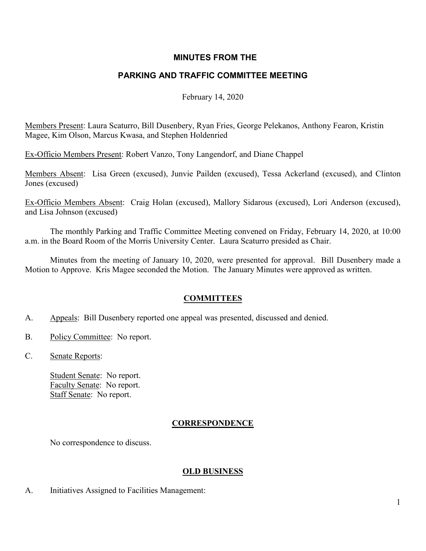# **MINUTES FROM THE**

# **PARKING AND TRAFFIC COMMITTEE MEETING**

February 14, 2020

Members Present: Laura Scaturro, Bill Dusenbery, Ryan Fries, George Pelekanos, Anthony Fearon, Kristin Magee, Kim Olson, Marcus Kwasa, and Stephen Holdenried

Ex-Officio Members Present: Robert Vanzo, Tony Langendorf, and Diane Chappel

Members Absent: Lisa Green (excused), Junvie Pailden (excused), Tessa Ackerland (excused), and Clinton Jones (excused)

Ex-Officio Members Absent: Craig Holan (excused), Mallory Sidarous (excused), Lori Anderson (excused), and Lisa Johnson (excused)

The monthly Parking and Traffic Committee Meeting convened on Friday, February 14, 2020, at 10:00 a.m. in the Board Room of the Morris University Center. Laura Scaturro presided as Chair.

Minutes from the meeting of January 10, 2020, were presented for approval. Bill Dusenbery made a Motion to Approve. Kris Magee seconded the Motion. The January Minutes were approved as written.

# **COMMITTEES**

- A. Appeals: Bill Dusenbery reported one appeal was presented, discussed and denied.
- B. Policy Committee: No report.
- C. Senate Reports:

Student Senate: No report. Faculty Senate: No report. Staff Senate: No report.

# **CORRESPONDENCE**

No correspondence to discuss.

#### **OLD BUSINESS**

A. Initiatives Assigned to Facilities Management: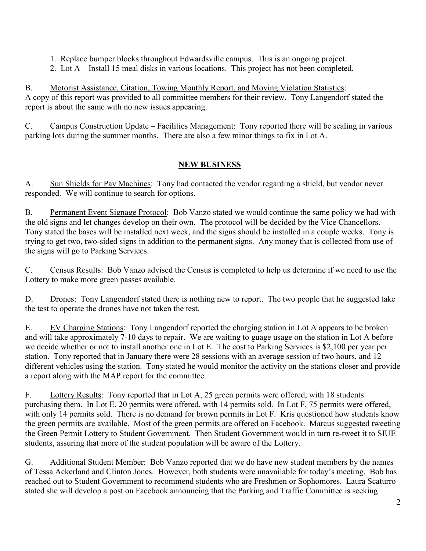- 1. Replace bumper blocks throughout Edwardsville campus. This is an ongoing project.
- 2. Lot A Install 15 meal disks in various locations. This project has not been completed.

B. Motorist Assistance, Citation, Towing Monthly Report, and Moving Violation Statistics: A copy of this report was provided to all committee members for their review. Tony Langendorf stated the report is about the same with no new issues appearing.

C. Campus Construction Update – Facilities Management: Tony reported there will be sealing in various parking lots during the summer months. There are also a few minor things to fix in Lot A.

# **NEW BUSINESS**

A. Sun Shields for Pay Machines: Tony had contacted the vendor regarding a shield, but vendor never responded. We will continue to search for options.

B. Permanent Event Signage Protocol: Bob Vanzo stated we would continue the same policy we had with the old signs and let changes develop on their own. The protocol will be decided by the Vice Chancellors. Tony stated the bases will be installed next week, and the signs should be installed in a couple weeks. Tony is trying to get two, two-sided signs in addition to the permanent signs. Any money that is collected from use of the signs will go to Parking Services.

C. Census Results: Bob Vanzo advised the Census is completed to help us determine if we need to use the Lottery to make more green passes available.

D. Drones: Tony Langendorf stated there is nothing new to report. The two people that he suggested take the test to operate the drones have not taken the test.

E. EV Charging Stations: Tony Langendorf reported the charging station in Lot A appears to be broken and will take approximately 7-10 days to repair. We are waiting to guage usage on the station in Lot A before we decide whether or not to install another one in Lot E. The cost to Parking Services is \$2,100 per year per station. Tony reported that in January there were 28 sessions with an average session of two hours, and 12 different vehicles using the station. Tony stated he would monitor the activity on the stations closer and provide a report along with the MAP report for the committee.

F. Lottery Results: Tony reported that in Lot A, 25 green permits were offered, with 18 students purchasing them. In Lot E, 20 permits were offered, with 14 permits sold. In Lot F, 75 permits were offered, with only 14 permits sold. There is no demand for brown permits in Lot F. Kris questioned how students know the green permits are available. Most of the green permits are offered on Facebook. Marcus suggested tweeting the Green Permit Lottery to Student Government. Then Student Government would in turn re-tweet it to SIUE students, assuring that more of the student population will be aware of the Lottery.

G. Additional Student Member: Bob Vanzo reported that we do have new student members by the names of Tessa Ackerland and Clinton Jones. However, both students were unavailable for today's meeting. Bob has reached out to Student Government to recommend students who are Freshmen or Sophomores. Laura Scaturro stated she will develop a post on Facebook announcing that the Parking and Traffic Committee is seeking